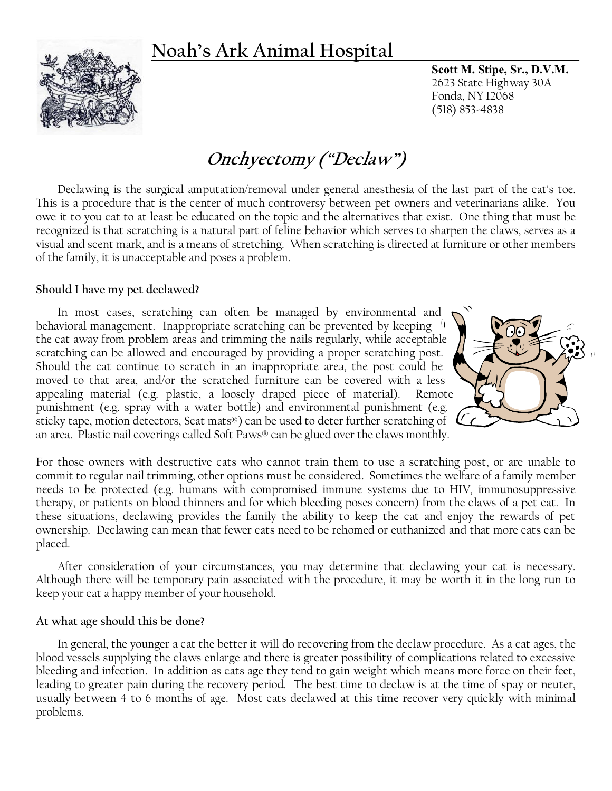## **Noah's Ark Animal Hospital\_\_\_\_\_\_\_\_\_\_\_\_\_\_\_\_\_\_\_\_\_\_\_**



**Scott M. Stipe, Sr., D.V.M.** 2623 State Highway 30A Fonda, NY 12068 (518) 853-4838

# **Onchyectomy ("Declaw")**

Declawing is the surgical amputation/removal under general anesthesia of the last part of the cat's toe. This is a procedure that is the center of much controversy between pet owners and veterinarians alike. You owe it to you cat to at least be educated on the topic and the alternatives that exist. One thing that must be recognized is that scratching is a natural part of feline behavior which serves to sharpen the claws, serves as a visual and scent mark, and is a means of stretching. When scratching is directed at furniture or other members of the family, it is unacceptable and poses a problem.

#### **Should I have my pet declawed?**

In most cases, scratching can often be managed by environmental and behavioral management. Inappropriate scratching can be prevented by keeping the cat away from problem areas and trimming the nails regularly, while acceptable scratching can be allowed and encouraged by providing a proper scratching post. Should the cat continue to scratch in an inappropriate area, the post could be moved to that area, and/or the scratched furniture can be covered with a less appealing material (e.g. plastic, a loosely draped piece of material). Remote punishment (e.g. spray with a water bottle) and environmental punishment (e.g. sticky tape, motion detectors, Scat mats®) can be used to deter further scratching of an area. Plastic nail coverings called Soft Paws® can be glued over the claws monthly.



For those owners with destructive cats who cannot train them to use a scratching post, or are unable to commit to regular nail trimming, other options must be considered. Sometimes the welfare of a family member needs to be protected (e.g. humans with compromised immune systems due to HIV, immunosuppressive therapy, or patients on blood thinners and for which bleeding poses concern) from the claws of a pet cat. In these situations, declawing provides the family the ability to keep the cat and enjoy the rewards of pet ownership. Declawing can mean that fewer cats need to be rehomed or euthanized and that more cats can be placed.

After consideration of your circumstances, you may determine that declawing your cat is necessary. Although there will be temporary pain associated with the procedure, it may be worth it in the long run to keep your cat a happy member of your household.

#### **At what age should this be done?**

In general, the younger a cat the better it will do recovering from the declaw procedure. As a cat ages, the blood vessels supplying the claws enlarge and there is greater possibility of complications related to excessive bleeding and infection. In addition as cats age they tend to gain weight which means more force on their feet, leading to greater pain during the recovery period. The best time to declaw is at the time of spay or neuter, usually between 4 to 6 months of age. Most cats declawed at this time recover very quickly with minimal problems.